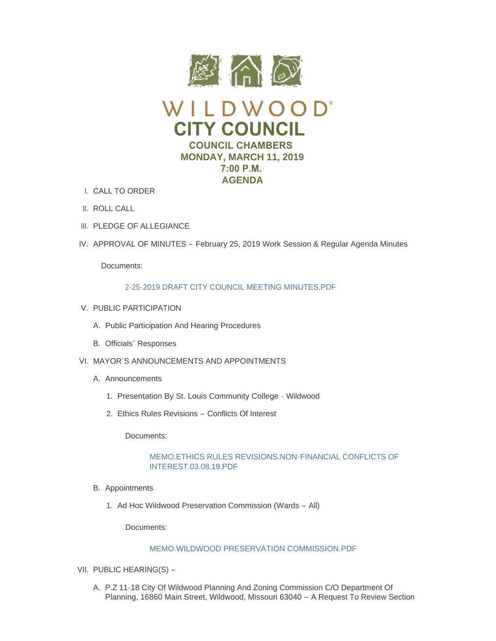

- CALL TO ORDER I.
- II. ROLL CALL
- III. PLEDGE OF ALLEGIANCE
- IV. APPROVAL OF MINUTES February 25, 2019 Work Session & Regular Agenda Minutes

Documents:

# [2-25-2019 DRAFT CITY COUNCIL MEETING MINUTES.PDF](https://www.cityofwildwood.com/AgendaCenter/ViewFile/Item/19342?fileID=25642)

- V. PUBLIC PARTICIPATION
	- A. Public Participation And Hearing Procedures
	- B. Officials' Responses
- VI. MAYOR'S ANNOUNCEMENTS AND APPOINTMENTS
	- A. Announcements
		- 1. Presentation By St. Louis Community College Wildwood
		- 2. Ethics Rules Revisions Conflicts Of Interest

Documents:

# [MEMO.ETHICS RULES REVISIONS.NON-FINANCIAL CONFLICTS OF](https://www.cityofwildwood.com/AgendaCenter/ViewFile/Item/19412?fileID=25669)  INTEREST.03.08.19.PDF

- B. Appointments
	- 1. Ad Hoc Wildwood Preservation Commission (Wards All)

Documents:

# [MEMO.WILDWOOD PRESERVATION COMMISSION.PDF](https://www.cityofwildwood.com/AgendaCenter/ViewFile/Item/19351?fileID=25676)

- VII. PUBLIC HEARING(S)
	- A. P.Z 11-18 City Of Wildwood Planning And Zoning Commission C/O Department Of Planning, 16860 Main Street, Wildwood, Missouri 63040 – A Request To Review Section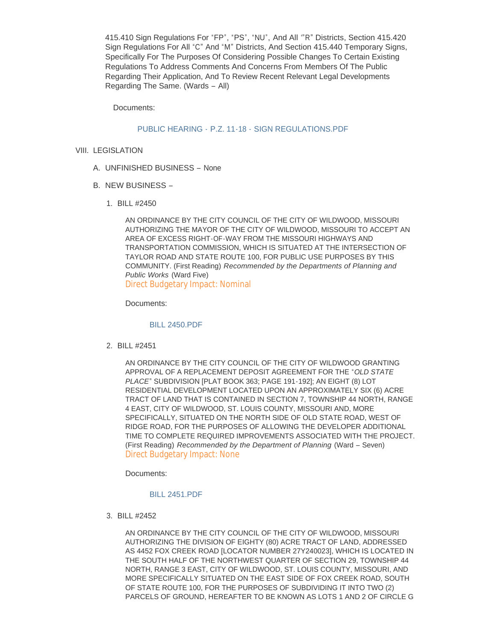415.410 Sign Regulations For "FP", "PS", "NU", And All '"R" Districts, Section 415.420 Sign Regulations For All "C" And "M" Districts, And Section 415.440 Temporary Signs, Specifically For The Purposes Of Considering Possible Changes To Certain Existing Regulations To Address Comments And Concerns From Members Of The Public Regarding Their Application, And To Review Recent Relevant Legal Developments Regarding The Same. (Wards – All)

Documents:

# PUBLIC HEARING - P.Z. 11-18 - SIGN REGULATIONS PDF

- VIII. LEGISLATION
	- UNFINISHED BUSINESS None A.
	- B. NEW BUSINESS
		- BILL #2450 1.

AN ORDINANCE BY THE CITY COUNCIL OF THE CITY OF WILDWOOD, MISSOURI AUTHORIZING THE MAYOR OF THE CITY OF WILDWOOD, MISSOURI TO ACCEPT AN AREA OF EXCESS RIGHT-OF-WAY FROM THE MISSOURI HIGHWAYS AND TRANSPORTATION COMMISSION, WHICH IS SITUATED AT THE INTERSECTION OF TAYLOR ROAD AND STATE ROUTE 100, FOR PUBLIC USE PURPOSES BY THIS COMMUNITY. (First Reading) *Recommended by the Departments of Planning and Public Works* (Ward Five) Direct Budgetary Impact: Nominal

Documents:

#### [BILL 2450.PDF](https://www.cityofwildwood.com/AgendaCenter/ViewFile/Item/19357?fileID=25648)

BILL #2451 2.

AN ORDINANCE BY THE CITY COUNCIL OF THE CITY OF WILDWOOD GRANTING APPROVAL OF A REPLACEMENT DEPOSIT AGREEMENT FOR THE "*OLD STATE PLACE*" SUBDIVISION [PLAT BOOK 363; PAGE 191-192]; AN EIGHT (8) LOT RESIDENTIAL DEVELOPMENT LOCATED UPON AN APPROXIMATELY SIX (6) ACRE TRACT OF LAND THAT IS CONTAINED IN SECTION 7, TOWNSHIP 44 NORTH, RANGE 4 EAST, CITY OF WILDWOOD, ST. LOUIS COUNTY, MISSOURI AND, MORE SPECIFICALLY, SITUATED ON THE NORTH SIDE OF OLD STATE ROAD, WEST OF RIDGE ROAD, FOR THE PURPOSES OF ALLOWING THE DEVELOPER ADDITIONAL TIME TO COMPLETE REQUIRED IMPROVEMENTS ASSOCIATED WITH THE PROJECT. (First Reading) *Recommended by the Department of Planning* (Ward – Seven) Direct Budgetary Impact: None

Documents:

#### [BILL 2451.PDF](https://www.cityofwildwood.com/AgendaCenter/ViewFile/Item/19358?fileID=25649)

BILL #2452 3.

AN ORDINANCE BY THE CITY COUNCIL OF THE CITY OF WILDWOOD, MISSOURI AUTHORIZING THE DIVISION OF EIGHTY (80) ACRE TRACT OF LAND, ADDRESSED AS 4452 FOX CREEK ROAD [LOCATOR NUMBER 27Y240023], WHICH IS LOCATED IN THE SOUTH HALF OF THE NORTHWEST QUARTER OF SECTION 29, TOWNSHIP 44 NORTH, RANGE 3 EAST, CITY OF WILDWOOD, ST. LOUIS COUNTY, MISSOURI, AND MORE SPECIFICALLY SITUATED ON THE EAST SIDE OF FOX CREEK ROAD, SOUTH OF STATE ROUTE 100, FOR THE PURPOSES OF SUBDIVIDING IT INTO TWO (2) PARCELS OF GROUND, HEREAFTER TO BE KNOWN AS LOTS 1 AND 2 OF CIRCLE G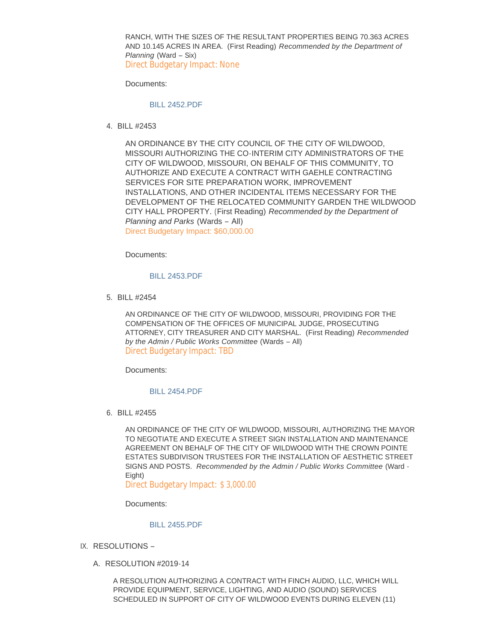RANCH, WITH THE SIZES OF THE RESULTANT PROPERTIES BEING 70.363 ACRES AND 10.145 ACRES IN AREA. (First Reading) *Recommended by the Department of Planning* (Ward – Six) Direct Budgetary Impact: None

Documents:

## [BILL 2452.PDF](https://www.cityofwildwood.com/AgendaCenter/ViewFile/Item/19359?fileID=25651)

BILL #2453 4.

AN ORDINANCE BY THE CITY COUNCIL OF THE CITY OF WILDWOOD, MISSOURI AUTHORIZING THE CO-INTERIM CITY ADMINISTRATORS OF THE CITY OF WILDWOOD, MISSOURI, ON BEHALF OF THIS COMMUNITY, TO AUTHORIZE AND EXECUTE A CONTRACT WITH GAEHLE CONTRACTING SERVICES FOR SITE PREPARATION WORK, IMPROVEMENT INSTALLATIONS, AND OTHER INCIDENTAL ITEMS NECESSARY FOR THE DEVELOPMENT OF THE RELOCATED COMMUNITY GARDEN THE WILDWOOD CITY HALL PROPERTY. (First Reading) *Recommended by the Department of Planning and Parks* (Wards – All) Direct Budgetary Impact: \$60,000.00

Documents:

### [BILL 2453.PDF](https://www.cityofwildwood.com/AgendaCenter/ViewFile/Item/19375?fileID=25660)

BILL #2454 5.

AN ORDINANCE OF THE CITY OF WILDWOOD, MISSOURI, PROVIDING FOR THE COMPENSATION OF THE OFFICES OF MUNICIPAL JUDGE, PROSECUTING ATTORNEY, CITY TREASURER AND CITY MARSHAL. (First Reading) *Recommended by the Admin / Public Works Committee* (Wards – All) Direct Budgetary Impact: TBD

Documents:

#### [BILL 2454.PDF](https://www.cityofwildwood.com/AgendaCenter/ViewFile/Item/19361?fileID=25655)

BILL #2455 6.

AN ORDINANCE OF THE CITY OF WILDWOOD, MISSOURI, AUTHORIZING THE MAYOR TO NEGOTIATE AND EXECUTE A STREET SIGN INSTALLATION AND MAINTENANCE AGREEMENT ON BEHALF OF THE CITY OF WILDWOOD WITH THE CROWN POINTE ESTATES SUBDIVISON TRUSTEES FOR THE INSTALLATION OF AESTHETIC STREET SIGNS AND POSTS. *Recommended by the Admin / Public Works Committee* (Ward - Eight)

Direct Budgetary Impact: \$ 3,000.00

Documents:

#### [BILL 2455.PDF](https://www.cityofwildwood.com/AgendaCenter/ViewFile/Item/19362?fileID=25656)

- IX. RESOLUTIONS
	- A. RESOLUTION #2019-14

A RESOLUTION AUTHORIZING A CONTRACT WITH FINCH AUDIO, LLC, WHICH WILL PROVIDE EQUIPMENT, SERVICE, LIGHTING, AND AUDIO (SOUND) SERVICES SCHEDULED IN SUPPORT OF CITY OF WILDWOOD EVENTS DURING ELEVEN (11)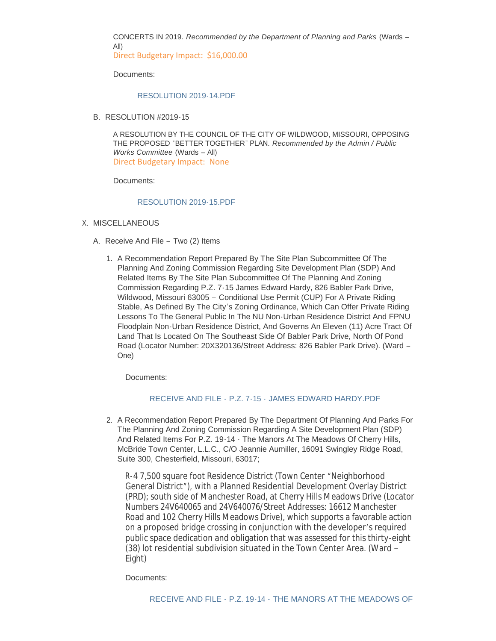CONCERTS IN 2019. *Recommended by the Department of Planning and Parks* (Wards – All)

Direct Budgetary Impact: \$16,000.00

Documents:

## [RESOLUTION 2019-14.PDF](https://www.cityofwildwood.com/AgendaCenter/ViewFile/Item/19364?fileID=25645)

B. RESOLUTION #2019-15

A RESOLUTION BY THE COUNCIL OF THE CITY OF WILDWOOD, MISSOURI, OPPOSING THE PROPOSED "BETTER TOGETHER" PLAN. *Recommended by the Admin / Public Works Committee* (Wards – All) Direct Budgetary Impact: None

Documents:

### [RESOLUTION 2019-15.PDF](https://www.cityofwildwood.com/AgendaCenter/ViewFile/Item/19365?fileID=25657)

# X. MISCELLANEOUS

- A. Receive And File Two (2) Items
	- 1. A Recommendation Report Prepared By The Site Plan Subcommittee Of The Planning And Zoning Commission Regarding Site Development Plan (SDP) And Related Items By The Site Plan Subcommittee Of The Planning And Zoning Commission Regarding P.Z. 7-15 James Edward Hardy, 826 Babler Park Drive, Wildwood, Missouri 63005 – Conditional Use Permit (CUP) For A Private Riding Stable, As Defined By The City's Zoning Ordinance, Which Can Offer Private Riding Lessons To The General Public In The NU Non-Urban Residence District And FPNU Floodplain Non-Urban Residence District, And Governs An Eleven (11) Acre Tract Of Land That Is Located On The Southeast Side Of Babler Park Drive, North Of Pond Road (Locator Number: 20X320136/Street Address: 826 Babler Park Drive). (Ward – One)

Documents:

# RECEIVE AND FILE - P.Z. 7-15 - [JAMES EDWARD HARDY.PDF](https://www.cityofwildwood.com/AgendaCenter/ViewFile/Item/19368?fileID=25646)

2. A Recommendation Report Prepared By The Department Of Planning And Parks For The Planning And Zoning Commission Regarding A Site Development Plan (SDP) And Related Items For P.Z. 19-14 - The Manors At The Meadows Of Cherry Hills, McBride Town Center, L.L.C., C/O Jeannie Aumiller, 16091 Swingley Ridge Road, Suite 300, Chesterfield, Missouri, 63017;

R-4 7,500 square foot Residence District (Town Center "Neighborhood General District"), with a Planned Residential Development Overlay District (PRD); south side of Manchester Road, at Cherry Hills Meadows Drive (Locator Numbers 24V640065 and 24V640076/Street Addresses: 16612 Manchester Road and 102 Cherry Hills Meadows Drive), which supports a favorable action on a proposed bridge crossing in conjunction with the developer's required public space dedication and obligation that was assessed for this thirty-eight (38) lot residential subdivision situated in the Town Center Area. (Ward – Eight)

Documents: